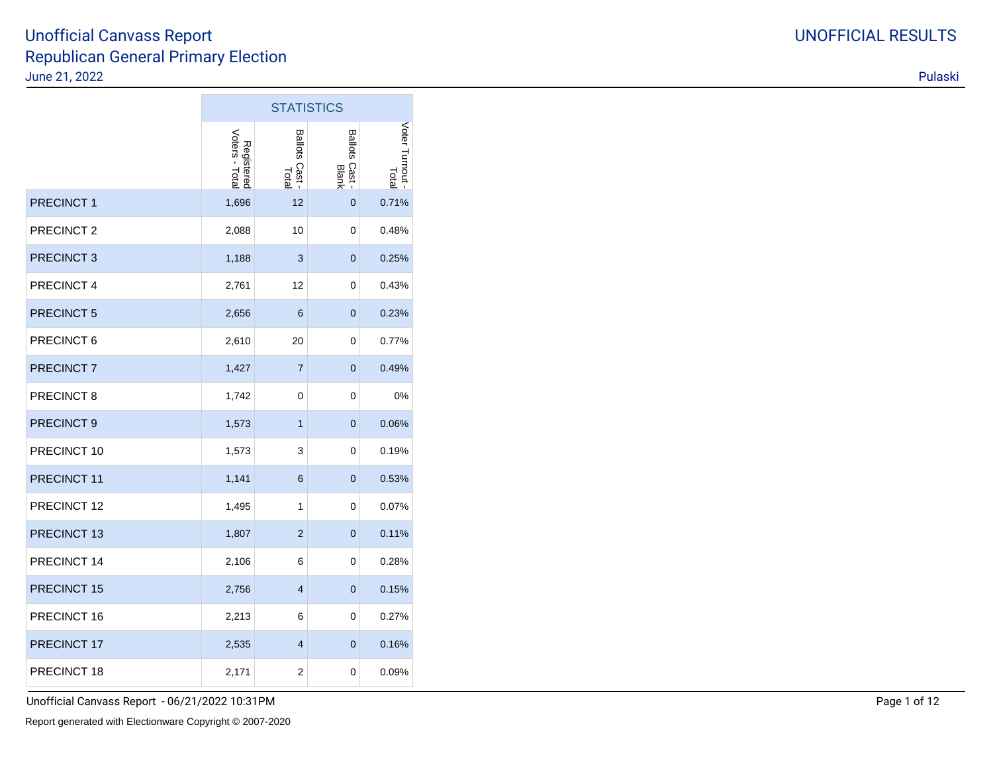**College** 

|                       |                              | <b>STATISTICS</b>               |                                        |                        |
|-----------------------|------------------------------|---------------------------------|----------------------------------------|------------------------|
|                       | Registered<br>Voters - Total | <b>Ballots</b><br>Cast<br>Total | <b>Ballots</b><br><b>Cast</b><br>Blank | Voter Turnout<br>Total |
| <b>PRECINCT1</b>      | 1,696                        | 12                              | 0                                      | 0.71%                  |
| PRECINCT <sub>2</sub> | 2,088                        | 10                              | 0                                      | 0.48%                  |
| PRECINCT <sub>3</sub> | 1,188                        | 3                               | 0                                      | 0.25%                  |
| PRECINCT 4            | 2,761                        | 12                              | 0                                      | 0.43%                  |
| PRECINCT 5            | 2,656                        | 6                               | 0                                      | 0.23%                  |
| PRECINCT 6            | 2,610                        | 20                              | 0                                      | 0.77%                  |
| PRECINCT 7            | 1,427                        | $\overline{7}$                  | 0                                      | 0.49%                  |
| PRECINCT 8            | 1,742                        | 0                               | 0                                      | 0%                     |
| PRECINCT 9            | 1,573                        | $\mathbf{1}$                    | 0                                      | 0.06%                  |
| PRECINCT 10           | 1,573                        | 3                               | 0                                      | 0.19%                  |
| PRECINCT 11           | 1,141                        | 6                               | 0                                      | 0.53%                  |
| PRECINCT 12           | 1,495                        | 1                               | 0                                      | 0.07%                  |
| PRECINCT 13           | 1,807                        | $\overline{2}$                  | 0                                      | 0.11%                  |
| PRECINCT 14           | 2,106                        | 6                               | 0                                      | 0.28%                  |
| PRECINCT 15           | 2,756                        | $\overline{4}$                  | 0                                      | 0.15%                  |
| PRECINCT 16           | 2,213                        | 6                               | 0                                      | 0.27%                  |
| PRECINCT 17           | 2,535                        | $\overline{4}$                  | $\mathbf{0}$                           | 0.16%                  |
| PRECINCT 18           | 2,171                        | $\overline{2}$                  | 0                                      | 0.09%                  |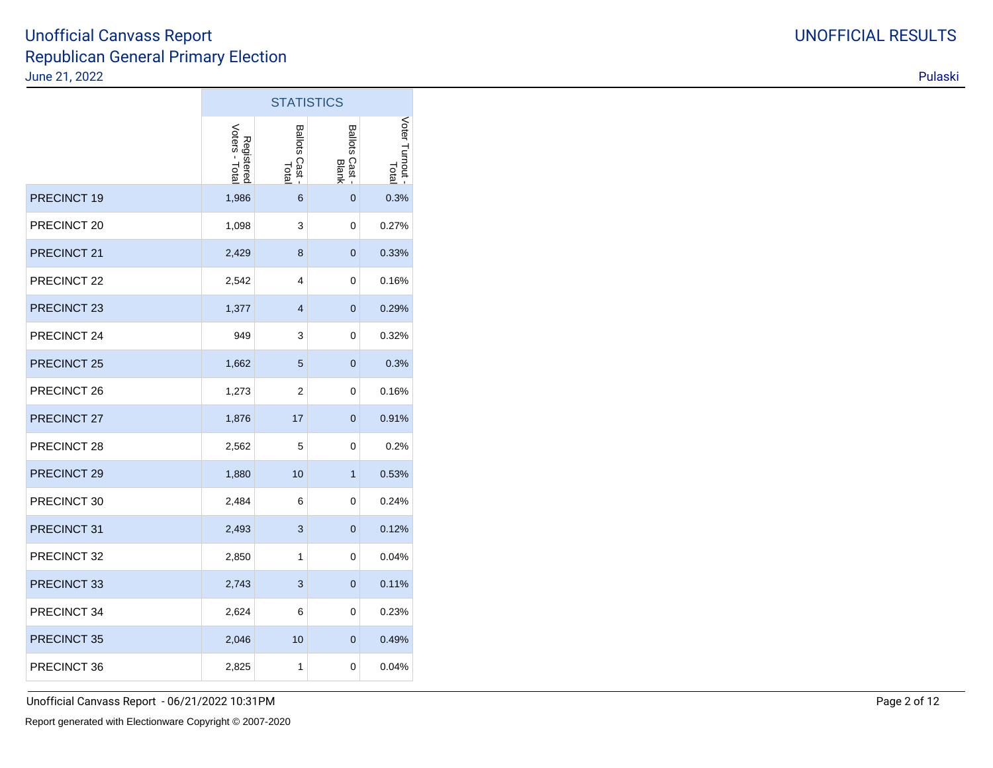|                        |                              |                                    | <b>STATISTICS</b>                 |                        |
|------------------------|------------------------------|------------------------------------|-----------------------------------|------------------------|
|                        | Registered<br>Voters - Total | <b>Ballots</b><br>SCast -<br>Total | <b>Ballots</b><br>Cast -<br>Blank | Voter Turnout<br>Total |
| PRECINCT 19            | 1,986                        | 6                                  | $\overline{0}$                    | 0.3%                   |
| PRECINCT 20            | 1,098                        | 3                                  | 0                                 | 0.27%                  |
| PRECINCT 21            | 2,429                        | 8                                  | $\mathbf 0$                       | 0.33%                  |
| PRECINCT 22            | 2,542                        | 4                                  | 0                                 | 0.16%                  |
| PRECINCT <sub>23</sub> | 1,377                        | $\overline{4}$                     | $\overline{0}$                    | 0.29%                  |
| PRECINCT 24            | 949                          | 3                                  | 0                                 | 0.32%                  |
| PRECINCT 25            | 1,662                        | $\sqrt{5}$                         | 0                                 | 0.3%                   |
| PRECINCT 26            | 1,273                        | 2                                  | 0                                 | 0.16%                  |
| PRECINCT 27            | 1,876                        | 17                                 | $\overline{0}$                    | 0.91%                  |
| PRECINCT 28            | 2,562                        | 5                                  | 0                                 | 0.2%                   |
| PRECINCT 29            | 1,880                        | 10                                 | $\mathbf{1}$                      | 0.53%                  |
| PRECINCT 30            | 2,484                        | 6                                  | 0                                 | 0.24%                  |
| PRECINCT 31            | 2,493                        | 3                                  | $\overline{0}$                    | 0.12%                  |
| PRECINCT 32            | 2,850                        | $\mathbf{1}$                       | 0                                 | 0.04%                  |
| PRECINCT 33            | 2,743                        | 3                                  | 0                                 | 0.11%                  |
| PRECINCT 34            | 2,624                        | 6                                  | 0                                 | 0.23%                  |
| PRECINCT 35            | 2,046                        | 10                                 | 0                                 | 0.49%                  |
| PRECINCT 36            | 2,825                        | $\mathbf{1}$                       | $\mathbf 0$                       | 0.04%                  |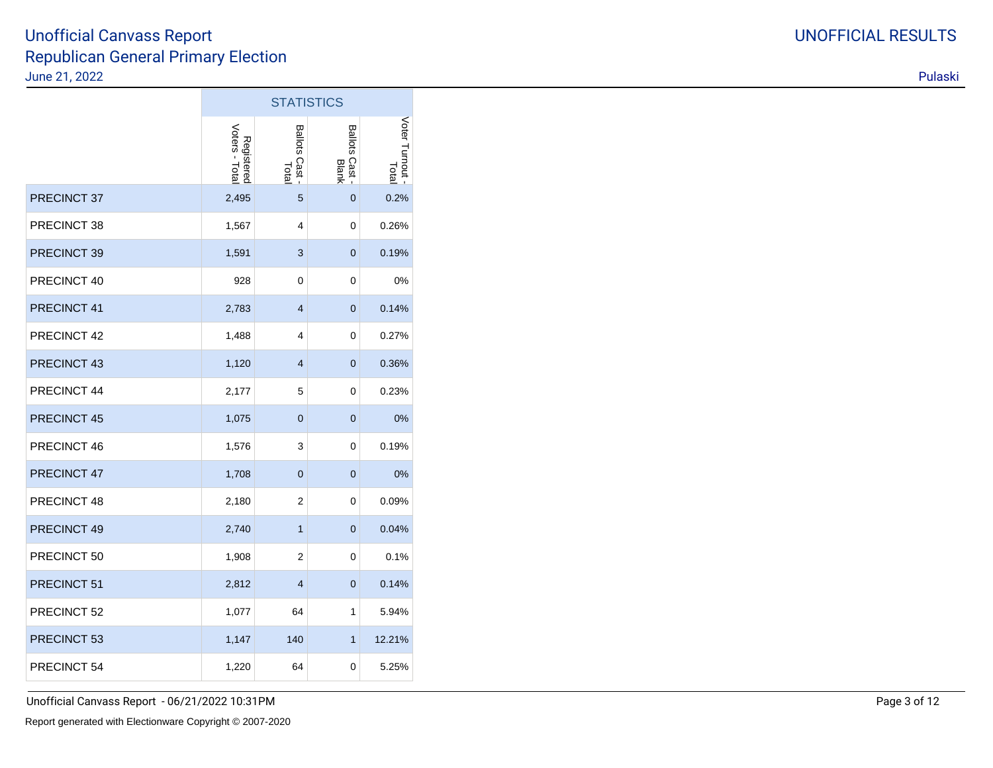|             |                              | <b>STATISTICS</b>                 |                         |                          |
|-------------|------------------------------|-----------------------------------|-------------------------|--------------------------|
|             | Voters - Total<br>Registered | <b>Ballots</b><br>Cast -<br>Total | Ballots Cast -<br>Blank | Voter Turnout -<br>Total |
| PRECINCT 37 | 2,495                        | 5                                 | $\overline{0}$          | 0.2%                     |
| PRECINCT 38 | 1,567                        | 4                                 | 0                       | 0.26%                    |
| PRECINCT 39 | 1,591                        | $\ensuremath{\mathsf{3}}$         | 0                       | 0.19%                    |
| PRECINCT 40 | 928                          | 0                                 | 0                       | 0%                       |
| PRECINCT 41 | 2,783                        | $\overline{4}$                    | $\overline{0}$          | 0.14%                    |
| PRECINCT 42 | 1,488                        | 4                                 | 0                       | 0.27%                    |
| PRECINCT 43 | 1,120                        | 4                                 | 0                       | 0.36%                    |
| PRECINCT 44 | 2,177                        | 5                                 | 0                       | 0.23%                    |
| PRECINCT 45 | 1,075                        | $\mathbf 0$                       | $\mathbf 0$             | 0%                       |
| PRECINCT 46 | 1,576                        | 3                                 | 0                       | 0.19%                    |
| PRECINCT 47 | 1,708                        | $\overline{0}$                    | $\mathbf{0}$            | 0%                       |
| PRECINCT 48 | 2,180                        | 2                                 | 0                       | 0.09%                    |
| PRECINCT 49 | 2,740                        | $\overline{1}$                    | 0                       | 0.04%                    |
| PRECINCT 50 | 1,908                        | 2                                 | 0                       | 0.1%                     |
| PRECINCT 51 | 2,812                        | $\overline{4}$                    | $\mathbf 0$             | 0.14%                    |
| PRECINCT 52 | 1,077                        | 64                                | $\mathbf{1}$            | 5.94%                    |
| PRECINCT 53 | 1,147                        | 140                               | $\mathbf{1}$            | 12.21%                   |
| PRECINCT 54 | 1,220                        | 64                                | 0                       | 5.25%                    |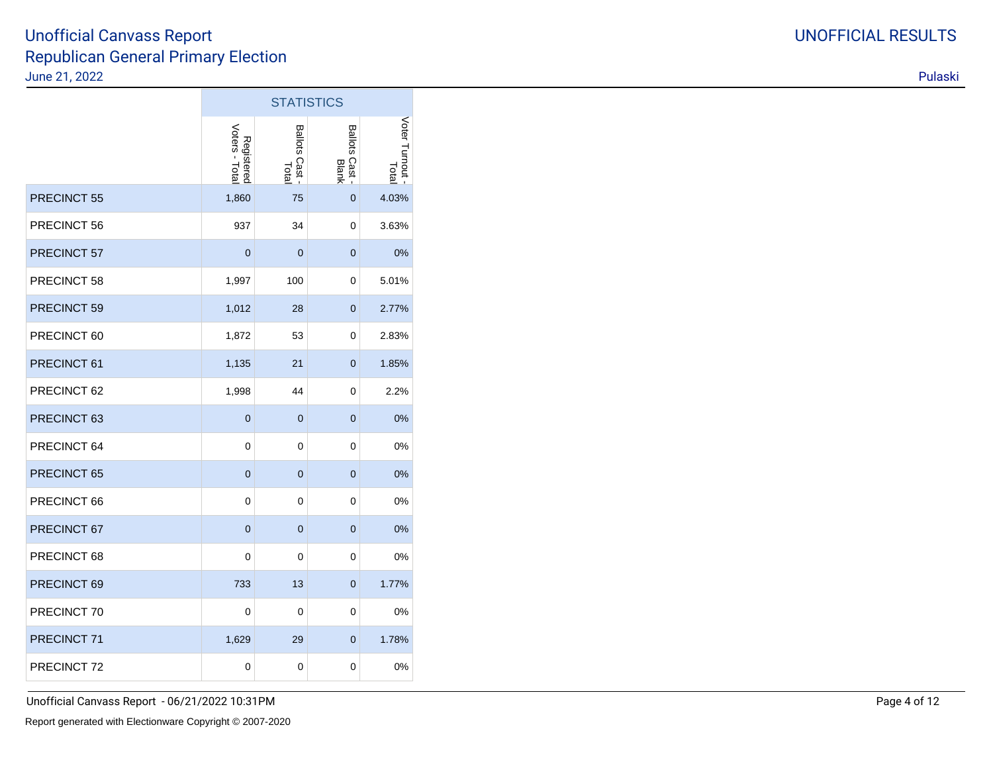|                    |                              | <b>STATISTICS</b>       |                         |                        |
|--------------------|------------------------------|-------------------------|-------------------------|------------------------|
|                    | Registered<br>Voters - Total | Ballots Cast -<br>Total | Ballots Cast -<br>Blank | Voter Turnout<br>Total |
| <b>PRECINCT 55</b> | 1,860                        | 75                      | 0                       | 4.03%                  |
| PRECINCT 56        | 937                          | 34                      | 0                       | 3.63%                  |
| PRECINCT 57        | $\overline{0}$               | $\mathbf{0}$            | $\mathbf{0}$            | 0%                     |
| PRECINCT 58        | 1,997                        | 100                     | 0                       | 5.01%                  |
| PRECINCT 59        | 1,012                        | 28                      | $\overline{0}$          | 2.77%                  |
| PRECINCT 60        | 1,872                        | 53                      | 0                       | 2.83%                  |
| PRECINCT 61        | 1,135                        | 21                      | $\overline{0}$          | 1.85%                  |
| PRECINCT 62        | 1,998                        | 44                      | 0                       | 2.2%                   |
| PRECINCT 63        | $\overline{0}$               | $\overline{0}$          | $\overline{0}$          | 0%                     |
| PRECINCT 64        | $\mathbf 0$                  | 0                       | 0                       | 0%                     |
| PRECINCT 65        | $\overline{0}$               | $\overline{0}$          | $\overline{0}$          | 0%                     |
| PRECINCT 66        | $\mathbf 0$                  | 0                       | 0                       | 0%                     |
| PRECINCT 67        | $\overline{0}$               | $\overline{0}$          | $\overline{0}$          | 0%                     |
| PRECINCT 68        | 0                            | 0                       | 0                       | 0%                     |
| PRECINCT 69        | 733                          | 13                      | 0                       | 1.77%                  |
| PRECINCT 70        | 0                            | 0                       | 0                       | 0%                     |
| PRECINCT 71        | 1,629                        | 29                      | 0                       | 1.78%                  |
| PRECINCT 72        | $\pmb{0}$                    | 0                       | 0                       | 0%                     |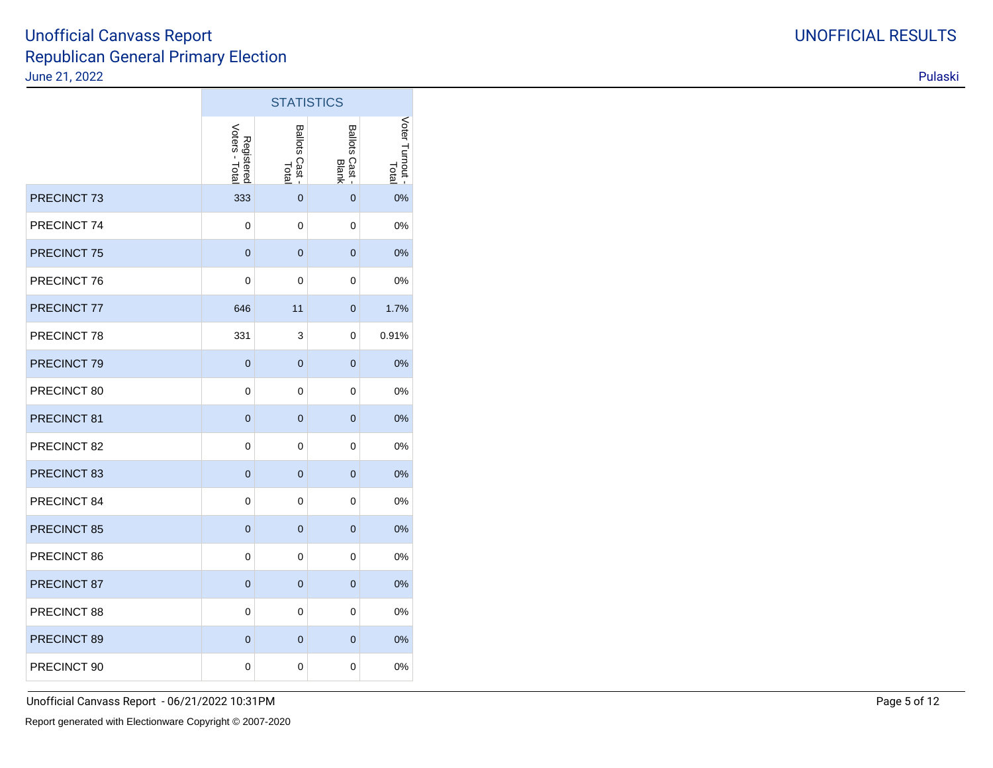|             |                              | <b>STATISTICS</b>                  |                         |                          |
|-------------|------------------------------|------------------------------------|-------------------------|--------------------------|
|             | Registered<br>Voters - Total | <b>Ballots</b><br>SCast -<br>Total | Ballots Cast -<br>Blank | Voter Turnout -<br>Total |
| PRECINCT 73 | 333                          | $\mathbf{0}$                       | $\overline{0}$          | 0%                       |
| PRECINCT 74 | 0                            | $\mathbf 0$                        | 0                       | 0%                       |
| PRECINCT 75 | $\overline{0}$               | $\mathbf 0$                        | $\overline{0}$          | 0%                       |
| PRECINCT 76 | 0                            | $\mathbf 0$                        | 0                       | 0%                       |
| PRECINCT 77 | 646                          | 11                                 | $\overline{0}$          | 1.7%                     |
| PRECINCT 78 | 331                          | 3                                  | 0                       | 0.91%                    |
| PRECINCT 79 | $\mathbf 0$                  | $\mathbf 0$                        | $\mathbf 0$             | 0%                       |
| PRECINCT 80 | 0                            | $\mathbf 0$                        | 0                       | 0%                       |
| PRECINCT 81 | 0                            | $\overline{0}$                     | $\overline{0}$          | 0%                       |
| PRECINCT 82 | 0                            | $\mathbf 0$                        | 0                       | 0%                       |
| PRECINCT 83 | $\mathbf 0$                  | $\mathbf 0$                        | $\overline{0}$          | 0%                       |
| PRECINCT 84 | 0                            | $\mathbf 0$                        | 0                       | 0%                       |
| PRECINCT 85 | 0                            | $\mathbf 0$                        | $\mathbf 0$             | 0%                       |
| PRECINCT 86 | 0                            | $\mathbf 0$                        | 0                       | 0%                       |
| PRECINCT 87 | $\mathbf 0$                  | $\mathbf 0$                        | 0                       | 0%                       |
| PRECINCT 88 | 0                            | $\mathbf 0$                        | 0                       | 0%                       |
| PRECINCT 89 | 0                            | $\mathbf 0$                        | $\mathbf 0$             | 0%                       |
| PRECINCT 90 | 0                            | $\pmb{0}$                          | 0                       | 0%                       |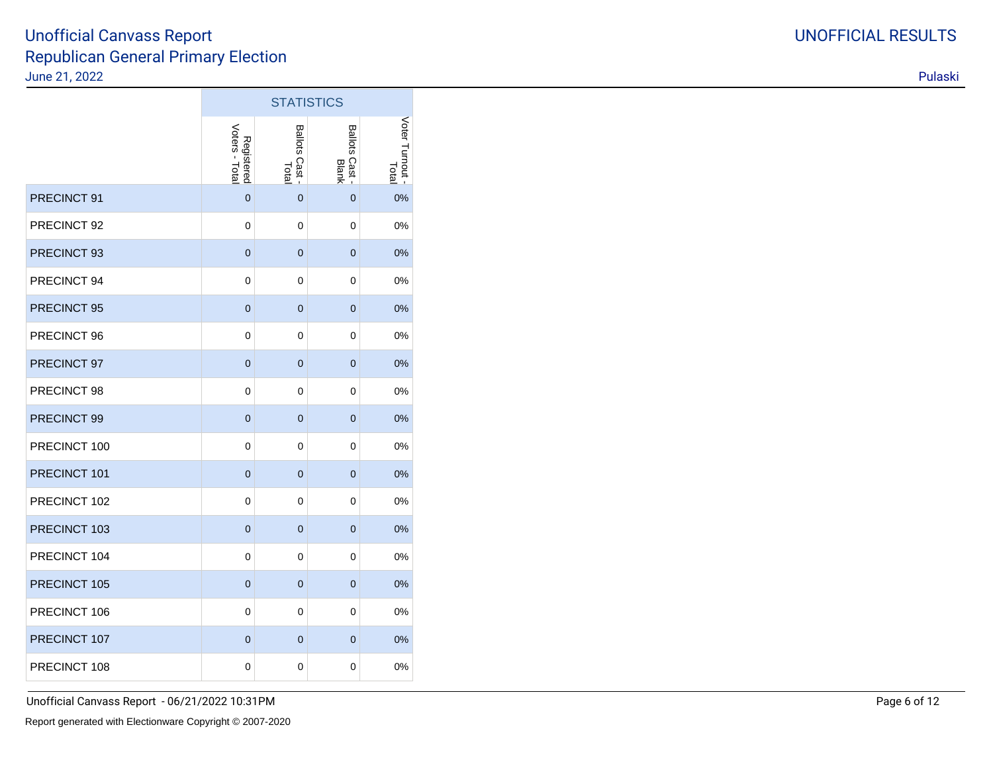|              |                              | <b>STATISTICS</b>                  |                         |                          |
|--------------|------------------------------|------------------------------------|-------------------------|--------------------------|
|              | Voters - Total<br>Registered | <b>Ballots</b><br>SCast -<br>Total | Ballots Cast -<br>Blank | Voter Turnout -<br>Total |
| PRECINCT 91  | $\mathbf 0$                  | $\mathbf 0$                        | $\overline{0}$          | 0%                       |
| PRECINCT 92  | 0                            | $\mathbf 0$                        | 0                       | 0%                       |
| PRECINCT 93  | 0                            | $\mathbf 0$                        | $\overline{0}$          | 0%                       |
| PRECINCT 94  | 0                            | $\mathbf 0$                        | 0                       | 0%                       |
| PRECINCT 95  | 0                            | $\mathbf 0$                        | $\overline{0}$          | 0%                       |
| PRECINCT 96  | 0                            | $\mathbf 0$                        | 0                       | 0%                       |
| PRECINCT 97  | $\mathbf 0$                  | $\mathbf 0$                        | $\mathbf 0$             | 0%                       |
| PRECINCT 98  | 0                            | $\mathbf 0$                        | 0                       | 0%                       |
| PRECINCT 99  | 0                            | $\overline{0}$                     | $\overline{0}$          | 0%                       |
| PRECINCT 100 | 0                            | $\mathbf 0$                        | 0                       | 0%                       |
| PRECINCT 101 | $\mathbf 0$                  | $\mathbf 0$                        | $\overline{0}$          | 0%                       |
| PRECINCT 102 | 0                            | $\mathbf 0$                        | 0                       | 0%                       |
| PRECINCT 103 | 0                            | $\mathbf 0$                        | $\mathbf 0$             | 0%                       |
| PRECINCT 104 | 0                            | $\mathbf 0$                        | 0                       | 0%                       |
| PRECINCT 105 | $\mathbf 0$                  | $\mathbf 0$                        | $\mathbf 0$             | 0%                       |
| PRECINCT 106 | 0                            | $\mathbf 0$                        | 0                       | 0%                       |
| PRECINCT 107 | 0                            | $\mathbf 0$                        | $\mathbf 0$             | 0%                       |
| PRECINCT 108 | 0                            | $\pmb{0}$                          | 0                       | 0%                       |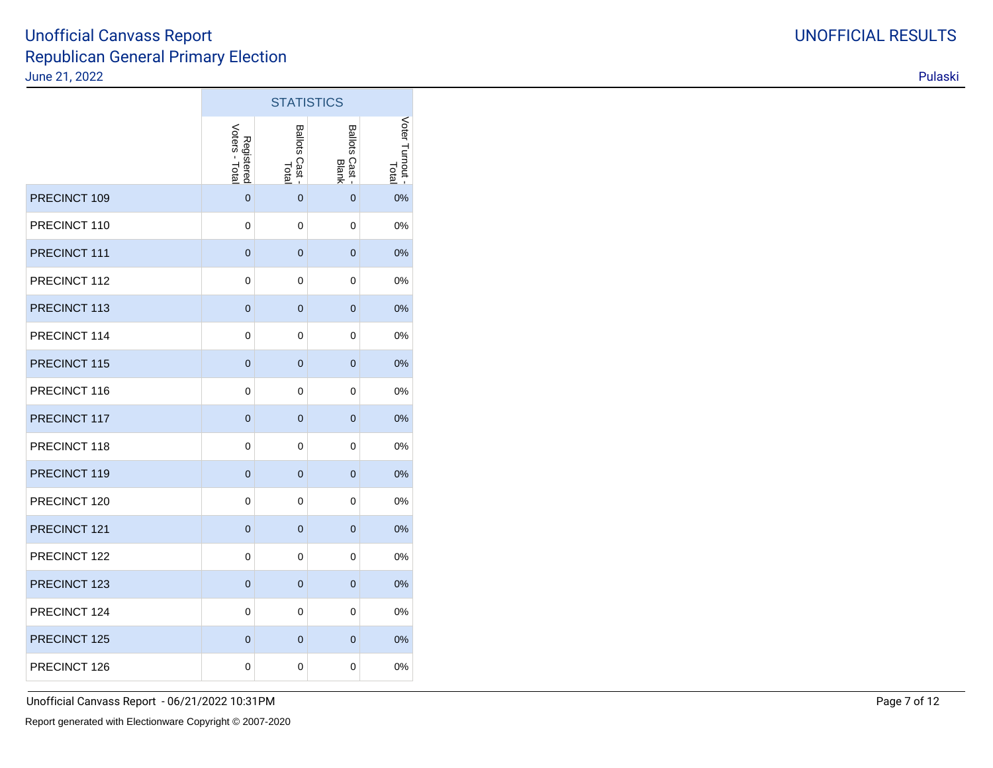|              |                              | <b>STATISTICS</b>                  |                         |                          |
|--------------|------------------------------|------------------------------------|-------------------------|--------------------------|
|              | Voters - Total<br>Registered | <b>Ballots</b><br>SCast -<br>Total | Ballots Cast -<br>Blank | Voter Turnout -<br>Total |
| PRECINCT 109 | $\overline{0}$               | $\Omega$                           | $\overline{0}$          | 0%                       |
| PRECINCT 110 | 0                            | $\mathbf 0$                        | 0                       | 0%                       |
| PRECINCT 111 | 0                            | $\mathbf 0$                        | $\overline{0}$          | 0%                       |
| PRECINCT 112 | 0                            | $\mathbf 0$                        | 0                       | 0%                       |
| PRECINCT 113 | $\overline{0}$               | $\overline{0}$                     | $\overline{0}$          | 0%                       |
| PRECINCT 114 | 0                            | $\mathbf 0$                        | 0                       | 0%                       |
| PRECINCT 115 | $\mathbf 0$                  | $\mathbf 0$                        | $\overline{0}$          | 0%                       |
| PRECINCT 116 | 0                            | $\mathbf 0$                        | 0                       | 0%                       |
| PRECINCT 117 | $\overline{0}$               | $\overline{0}$                     | $\overline{0}$          | 0%                       |
| PRECINCT 118 | 0                            | $\mathbf 0$                        | 0                       | 0%                       |
| PRECINCT 119 | $\mathbf 0$                  | $\overline{0}$                     | $\overline{0}$          | 0%                       |
| PRECINCT 120 | 0                            | $\mathbf 0$                        | 0                       | 0%                       |
| PRECINCT 121 | 0                            | $\mathbf 0$                        | $\overline{0}$          | 0%                       |
| PRECINCT 122 | 0                            | $\mathbf 0$                        | 0                       | 0%                       |
| PRECINCT 123 | 0                            | $\mathbf 0$                        | 0                       | 0%                       |
| PRECINCT 124 | 0                            | $\mathbf 0$                        | 0                       | 0%                       |
| PRECINCT 125 | 0                            | $\mathbf 0$                        | $\mathbf 0$             | 0%                       |
| PRECINCT 126 | 0                            | $\mathbf 0$                        | 0                       | 0%                       |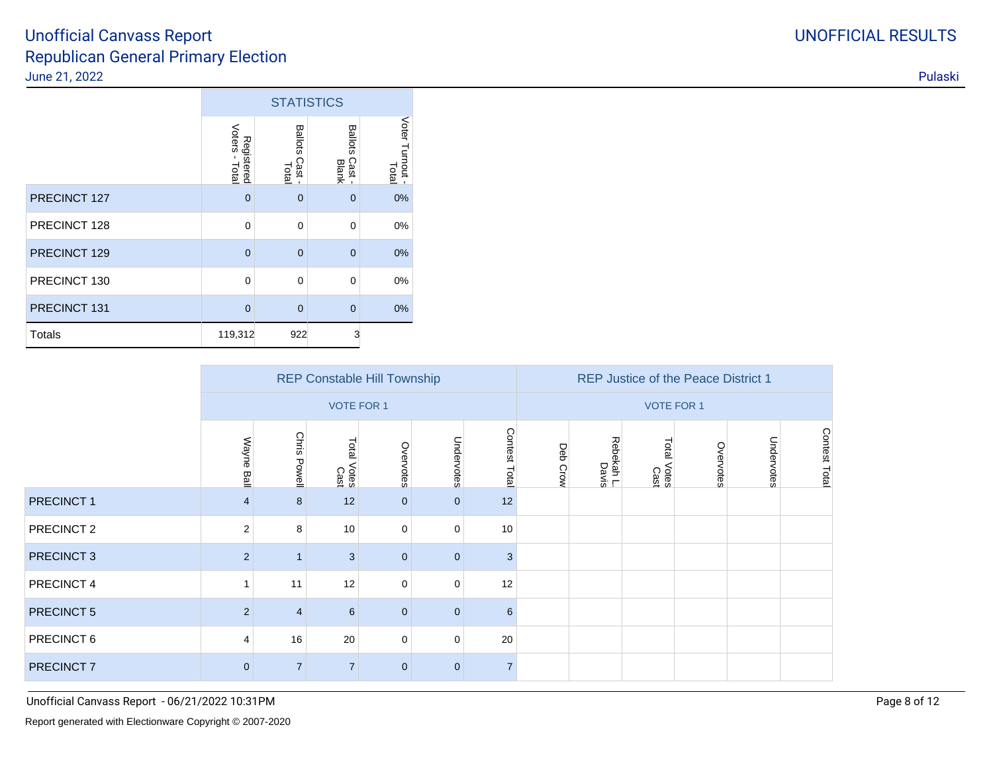|               |                              | <b>STATISTICS</b>               |                                 |                          |  |  |  |  |
|---------------|------------------------------|---------------------------------|---------------------------------|--------------------------|--|--|--|--|
|               | Voters - Total<br>Registered | <b>Ballots</b><br>Cast<br>Total | <b>Ballots</b><br>Cast<br>Blank | Voter Turnout -<br>Total |  |  |  |  |
| PRECINCT 127  | $\overline{0}$               | $\overline{0}$                  | $\overline{0}$                  | 0%                       |  |  |  |  |
| PRECINCT 128  | $\mathbf 0$                  | $\mathbf 0$                     | $\mathbf 0$                     | 0%                       |  |  |  |  |
| PRECINCT 129  | $\overline{0}$               | $\overline{0}$                  | $\overline{0}$                  | 0%                       |  |  |  |  |
| PRECINCT 130  | $\Omega$                     | $\Omega$                        | $\Omega$                        | 0%                       |  |  |  |  |
| PRECINCT 131  | $\overline{0}$               | $\overline{0}$                  | $\overline{0}$                  | 0%                       |  |  |  |  |
| <b>Totals</b> | 119,312                      | 922                             | 3                               |                          |  |  |  |  |

|                       |                |                   |                     | <b>REP Constable Hill Township</b> |                |                | <b>REP Justice of the Peace District 1</b> |                     |                        |           |            |               |
|-----------------------|----------------|-------------------|---------------------|------------------------------------|----------------|----------------|--------------------------------------------|---------------------|------------------------|-----------|------------|---------------|
|                       |                | <b>VOTE FOR 1</b> |                     |                                    |                |                |                                            |                     | <b>VOTE FOR 1</b>      |           |            |               |
|                       | Wayne Ball     | Chris<br>Powell   | Total Votes<br>Cast | Overvotes                          | Undervotes     | Contest Total  | Deb Crow                                   | Rebekah L.<br>Davis | Total<br>Votes<br>Cast | Overvotes | Undervotes | Contest Total |
| PRECINCT 1            | $\overline{4}$ | 8                 | 12                  | $\overline{0}$                     | $\overline{0}$ | 12             |                                            |                     |                        |           |            |               |
| PRECINCT 2            | $\mathbf{2}$   | 8                 | 10                  | $\mathbf 0$                        | $\mathbf 0$    | 10             |                                            |                     |                        |           |            |               |
| PRECINCT <sub>3</sub> | $\overline{2}$ |                   | 3                   | $\mathbf{0}$                       | $\overline{0}$ | 3              |                                            |                     |                        |           |            |               |
| PRECINCT 4            | 1              | 11                | 12                  | $\mathbf 0$                        | $\mathbf 0$    | 12             |                                            |                     |                        |           |            |               |
| PRECINCT 5            | 2              | $\overline{4}$    | 6                   | $\overline{0}$                     | $\mathbf{0}$   | 6              |                                            |                     |                        |           |            |               |
| PRECINCT 6            | 4              | 16                | 20                  | $\mathbf 0$                        | $\mathbf 0$    | 20             |                                            |                     |                        |           |            |               |
| PRECINCT 7            | $\mathbf 0$    |                   | $\overline{7}$      | $\mathbf 0$                        | $\mathbf 0$    | $\overline{7}$ |                                            |                     |                        |           |            |               |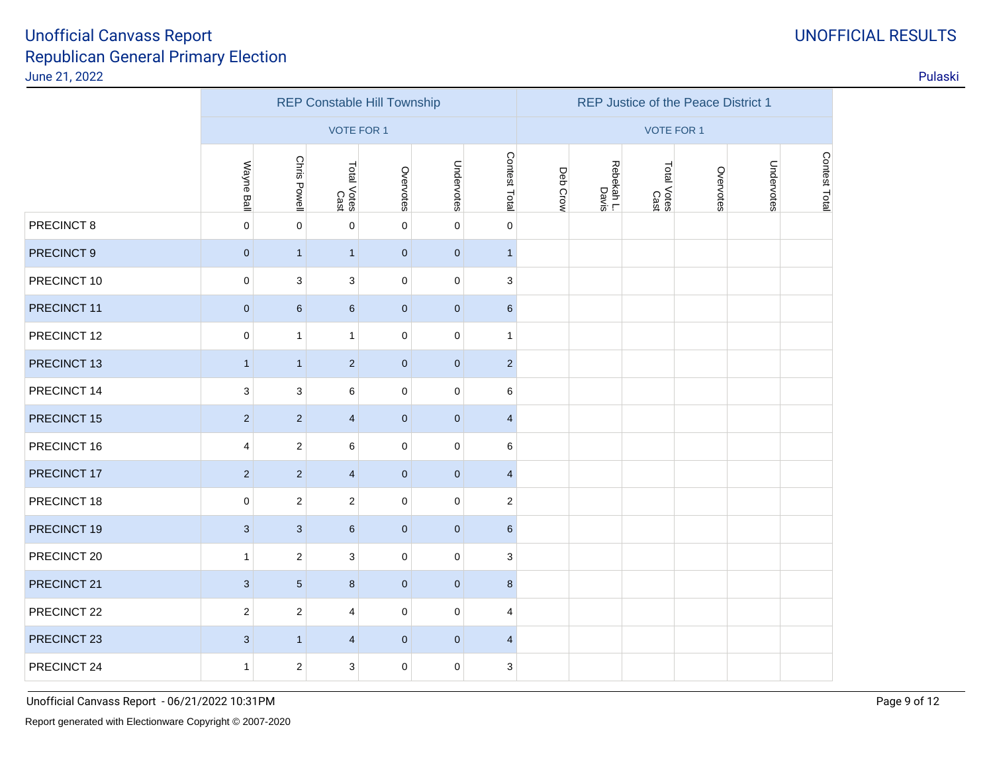|             |                           |                         |                     | <b>REP Constable Hill Township</b> |             |                           | REP Justice of the Peace District 1 |                     |                     |           |            |               |
|-------------|---------------------------|-------------------------|---------------------|------------------------------------|-------------|---------------------------|-------------------------------------|---------------------|---------------------|-----------|------------|---------------|
|             |                           |                         | <b>VOTE FOR 1</b>   |                                    |             |                           | <b>VOTE FOR 1</b>                   |                     |                     |           |            |               |
|             | Wayne Ball                | Chris Powell            | Total Votes<br>Cast | Overvotes                          | Undervotes  | Contest Total             | Deb Crow                            | Rebekah L.<br>Davis | Total Votes<br>Cast | Overvotes | Undervotes | Contest Total |
| PRECINCT 8  | $\mathbf 0$               | $\pmb{0}$               | $\mathbf 0$         | $\mathbf 0$                        | $\mathbf 0$ | $\mathbf 0$               |                                     |                     |                     |           |            |               |
| PRECINCT 9  | $\pmb{0}$                 | $\mathbf{1}$            | $\mathbf{1}$        | $\bf{0}$                           | $\pmb{0}$   | $\mathbf{1}$              |                                     |                     |                     |           |            |               |
| PRECINCT 10 | $\pmb{0}$                 | 3                       | 3                   | $\mathbf 0$                        | $\pmb{0}$   | $\ensuremath{\mathsf{3}}$ |                                     |                     |                     |           |            |               |
| PRECINCT 11 | $\pmb{0}$                 | $\,6$                   | $6\phantom{1}$      | $\pmb{0}$                          | $\pmb{0}$   | $6\phantom{.}6$           |                                     |                     |                     |           |            |               |
| PRECINCT 12 | $\mathbf 0$               | 1                       | $\mathbf{1}$        | $\mathbf 0$                        | $\mathbf 0$ | $\mathbf{1}$              |                                     |                     |                     |           |            |               |
| PRECINCT 13 | $\mathbf{1}$              | $\mathbf{1}$            | $\overline{2}$      | $\mathbf 0$                        | $\pmb{0}$   | $\sqrt{2}$                |                                     |                     |                     |           |            |               |
| PRECINCT 14 | $\sqrt{3}$                | 3                       | 6                   | $\mathbf 0$                        | $\mathbf 0$ | $\,6\,$                   |                                     |                     |                     |           |            |               |
| PRECINCT 15 | $\overline{2}$            | $\overline{2}$          | $\overline{4}$      | $\mathbf 0$                        | $\mathbf 0$ | $\overline{4}$            |                                     |                     |                     |           |            |               |
| PRECINCT 16 | 4                         | $\boldsymbol{2}$        | 6                   | $\mathbf 0$                        | $\pmb{0}$   | $\,6\,$                   |                                     |                     |                     |           |            |               |
| PRECINCT 17 | $\overline{2}$            | $\overline{2}$          | $\overline{4}$      | $\mathbf 0$                        | $\pmb{0}$   | $\overline{4}$            |                                     |                     |                     |           |            |               |
| PRECINCT 18 | $\mathbf 0$               | $\overline{\mathbf{c}}$ | $\mathbf{2}$        | $\mathbf 0$                        | $\pmb{0}$   | $\overline{2}$            |                                     |                     |                     |           |            |               |
| PRECINCT 19 | $\mathbf{3}$              | $\sqrt{3}$              | $6\phantom{1}$      | $\pmb{0}$                          | $\pmb{0}$   | $6\phantom{.}6$           |                                     |                     |                     |           |            |               |
| PRECINCT 20 | $\mathbf{1}$              | $\boldsymbol{2}$        | 3                   | $\mathbf 0$                        | $\mathbf 0$ | 3                         |                                     |                     |                     |           |            |               |
| PRECINCT 21 | $\ensuremath{\mathsf{3}}$ | $\sqrt{5}$              | 8                   | $\mathbf 0$                        | $\mathbf 0$ | 8                         |                                     |                     |                     |           |            |               |
| PRECINCT 22 | $\overline{2}$            | $\overline{\mathbf{c}}$ | $\overline{4}$      | $\mathbf 0$                        | $\mathbf 0$ | $\overline{\mathbf{4}}$   |                                     |                     |                     |           |            |               |
| PRECINCT 23 | $\mathbf{3}$              | $\mathbf{1}$            | $\overline{4}$      | $\mathbf 0$                        | $\mathbf 0$ | $\overline{4}$            |                                     |                     |                     |           |            |               |
| PRECINCT 24 | $\mathbf{1}$              | $\overline{\mathbf{c}}$ | 3                   | $\mathbf 0$                        | $\pmb{0}$   | 3                         |                                     |                     |                     |           |            |               |

Unofficial Canvass Report - 06/21/2022 10:31PMManufacturers of the control of the control of the control of the control of the control of the control of the control of the control of the control of the control of the control of the control of the control of the contro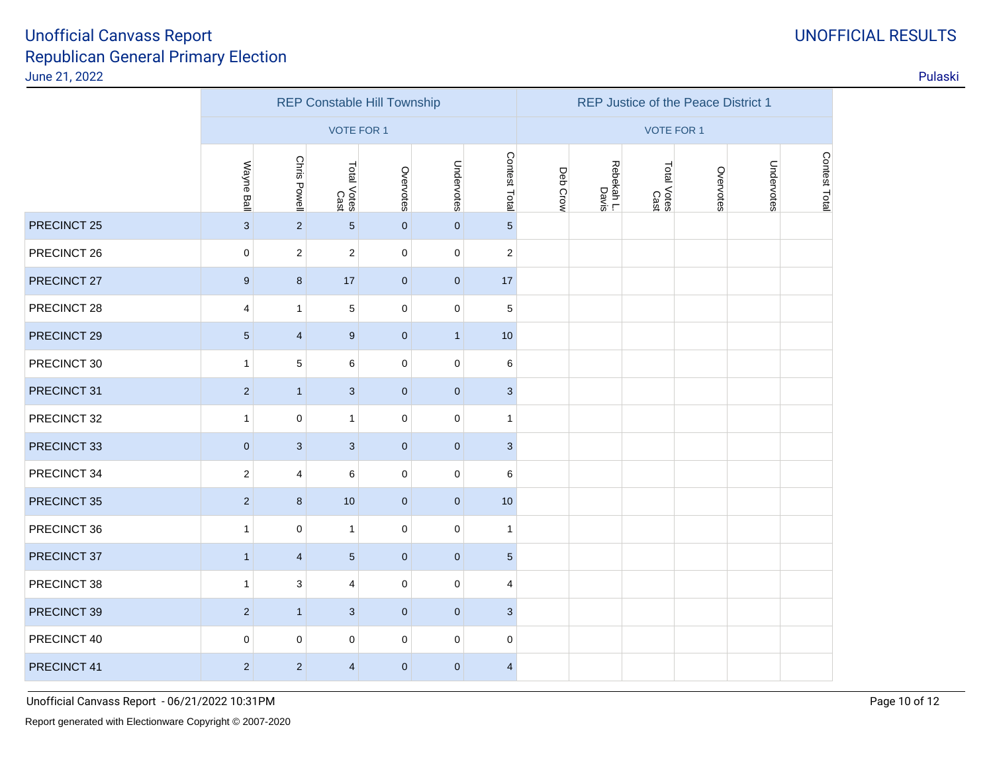# Republican General Primary ElectionJune 21, 2022Unofficial Canvass Report

| Galivass Report<br>n General Primary Election |                   |                |                                    |              |                |                  |          |                                     |                               |           |            |                      | <b>UINULLIUIAL RESULTS</b> |
|-----------------------------------------------|-------------------|----------------|------------------------------------|--------------|----------------|------------------|----------|-------------------------------------|-------------------------------|-----------|------------|----------------------|----------------------------|
| 2                                             |                   |                |                                    |              |                |                  |          |                                     |                               |           |            |                      | Pulaski                    |
|                                               |                   |                | <b>REP Constable Hill Township</b> |              |                |                  |          | REP Justice of the Peace District 1 |                               |           |            |                      |                            |
|                                               | <b>VOTE FOR 1</b> |                |                                    |              |                |                  |          | <b>VOTE FOR 1</b>                   |                               |           |            |                      |                            |
|                                               | Wayne<br>Ball     | Chris Powell   | Total Votes<br>Cast                | Overvotes    | Jndervotes     | Contest<br>Total | Deb Crow | Rebekah L.<br>Davis                 | <b>Total</b><br>Votes<br>Cast | Overvotes | Undervotes | င္ခ<br>ntest<br>Lota |                            |
| 5                                             | 3                 | 2              | 5                                  | $\mathbf{0}$ | $\Omega$       | 5                |          |                                     |                               |           |            |                      |                            |
|                                               | $\Omega$          | 2              | $\overline{2}$                     | $\mathbf 0$  | $\Omega$       | 2                |          |                                     |                               |           |            |                      |                            |
|                                               | 9                 | 8              | 17                                 | $\mathbf{0}$ | $\overline{0}$ | 17               |          |                                     |                               |           |            |                      |                            |
| 8                                             | 4                 |                | 5                                  | 0            | 0              | 5                |          |                                     |                               |           |            |                      |                            |
| n                                             | E.                | $\overline{A}$ | $\sim$                             | $\sim$       | $\overline{A}$ | $\sqrt{2}$       |          |                                     |                               |           |            |                      |                            |

|             |                 |                     | <b>VOTE FOR 1</b>   |              |                |                 | <b>VOTE FOR 1</b> |                     |                     |           |            |              |
|-------------|-----------------|---------------------|---------------------|--------------|----------------|-----------------|-------------------|---------------------|---------------------|-----------|------------|--------------|
|             | Wayne Ball      | <b>Chris Powell</b> | Total Votes<br>Cast | Overvotes    | Undervotes     | Contest Total   | Deb Crow          | Rebekah L.<br>Davis | Total Votes<br>Cast | Overvotes | Undervotes | CONGESE LOGI |
| PRECINCT 25 | $\mathbf{3}$    | $\overline{2}$      | 5 <sup>5</sup>      | $\mathbf{0}$ | $\mathbf{0}$   | $5\overline{)}$ |                   |                     |                     |           |            |              |
| PRECINCT 26 | $\mathbf 0$     | $\overline{2}$      | 2                   | 0            | $\mathbf 0$    | $\overline{c}$  |                   |                     |                     |           |            |              |
| PRECINCT 27 | 9               | 8                   | 17                  | $\mathbf 0$  | $\mathbf{0}$   | 17              |                   |                     |                     |           |            |              |
| PRECINCT 28 | 4               | $\mathbf{1}$        | 5                   | 0            | 0              | $\,$ 5 $\,$     |                   |                     |                     |           |            |              |
| PRECINCT 29 | $5\phantom{.0}$ | $\overline{4}$      | 9                   | $\mathbf{0}$ | $\mathbf{1}$   | 10              |                   |                     |                     |           |            |              |
| PRECINCT 30 | $\mathbf{1}$    | $\sqrt{5}$          | 6                   | 0            | $\mathbf 0$    | 6               |                   |                     |                     |           |            |              |
| PRECINCT 31 | $\overline{2}$  | $\mathbf{1}$        | 3                   | $\mathbf{0}$ | $\overline{0}$ | $\mathbf{3}$    |                   |                     |                     |           |            |              |
| PRECINCT 32 | $\mathbf{1}$    | 0                   | $\mathbf{1}$        | 0            | $\mathbf 0$    | $\mathbf{1}$    |                   |                     |                     |           |            |              |
| PRECINCT 33 | $\mathbf 0$     | 3                   | 3                   | $\mathbf{0}$ | $\overline{0}$ | $\mathbf{3}$    |                   |                     |                     |           |            |              |
| PRECINCT 34 | $\overline{2}$  | 4                   | 6                   | 0            | $\mathbf 0$    | 6               |                   |                     |                     |           |            |              |
| PRECINCT 35 | $\overline{2}$  | 8                   | 10                  | $\mathbf{0}$ | $\overline{0}$ | 10              |                   |                     |                     |           |            |              |
| PRECINCT 36 | $\mathbf{1}$    | $\mathbf 0$         | $\mathbf{1}$        | 0            | $\mathbf 0$    | $\mathbf{1}$    |                   |                     |                     |           |            |              |
| PRECINCT 37 | $\overline{1}$  | $\overline{4}$      | 5 <sup>5</sup>      | $\mathbf{0}$ | $\mathbf{0}$   | $5\phantom{.0}$ |                   |                     |                     |           |            |              |
| PRECINCT 38 | $\mathbf{1}$    | 3                   | 4                   | 0            | $\mathbf 0$    | 4               |                   |                     |                     |           |            |              |
| PRECINCT 39 | $\overline{2}$  | $\mathbf{1}$        | 3                   | $\mathbf{0}$ | $\mathbf{0}$   | $\mathbf{3}$    |                   |                     |                     |           |            |              |
| PRECINCT 40 | $\mathbf 0$     | 0                   | 0                   | 0            | $\mathbf 0$    | $\mathbf 0$     |                   |                     |                     |           |            |              |
| PRECINCT 41 | $\overline{2}$  | $\overline{2}$      | $\overline{4}$      | $\pmb{0}$    | $\mathbf{0}$   | $\overline{4}$  |                   |                     |                     |           |            |              |
|             |                 |                     |                     |              |                |                 |                   |                     |                     |           |            |              |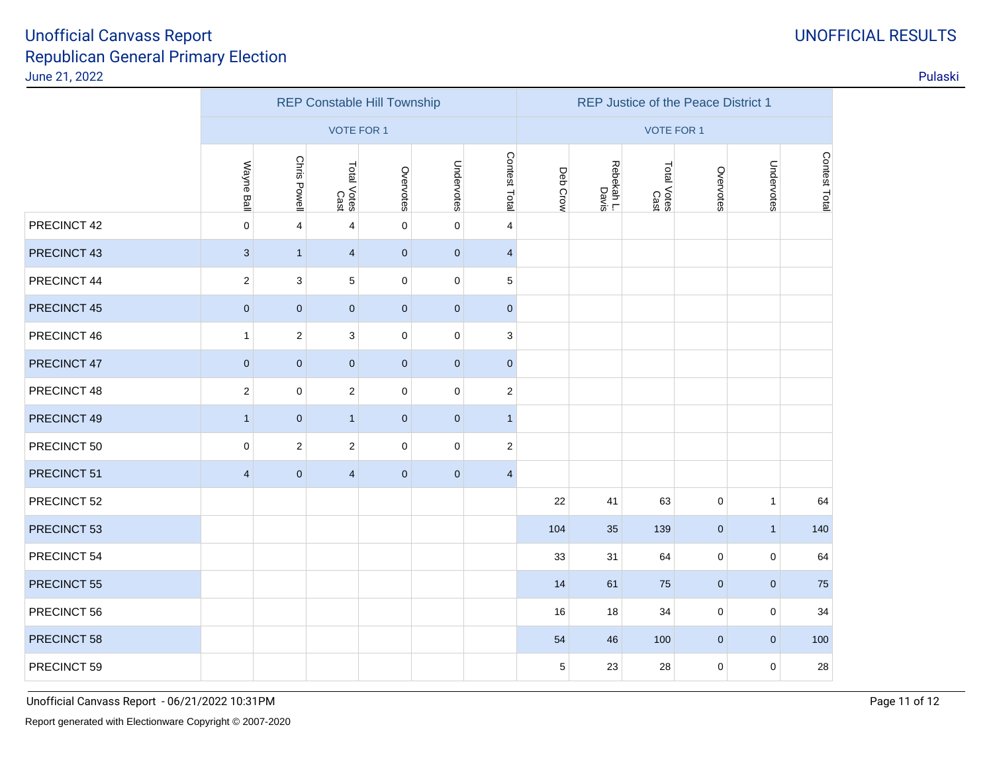|             | <b>REP Constable Hill Township</b> |                |                         |             |              |                |          | REP Justice of the Peace District 1 |                     |             |              |               |  |  |
|-------------|------------------------------------|----------------|-------------------------|-------------|--------------|----------------|----------|-------------------------------------|---------------------|-------------|--------------|---------------|--|--|
|             | <b>VOTE FOR 1</b>                  |                |                         |             |              |                |          | <b>VOTE FOR 1</b>                   |                     |             |              |               |  |  |
|             | Wayne Ball                         | Chris Powell   | Total Votes<br>Cast     | Overvotes   | Undervotes   | Contest Total  | Deb Crow | Rebekah L.<br>Davis                 | Total Votes<br>Cast | Overvotes   | Undervotes   | Contest Total |  |  |
| PRECINCT 42 | $\pmb{0}$                          | $\overline{4}$ | 4                       | $\mathbf 0$ | $\pmb{0}$    | $\overline{4}$ |          |                                     |                     |             |              |               |  |  |
| PRECINCT 43 | $\mathbf{3}$                       | $\mathbf{1}$   | $\overline{4}$          | $\mathbf 0$ | $\mathbf 0$  | $\overline{4}$ |          |                                     |                     |             |              |               |  |  |
| PRECINCT 44 | $\overline{2}$                     | 3              | $\,$ 5 $\,$             | $\pmb{0}$   | $\pmb{0}$    | $\,$ 5 $\,$    |          |                                     |                     |             |              |               |  |  |
| PRECINCT 45 | $\pmb{0}$                          | $\mathbf 0$    | $\mathbf 0$             | $\mathbf 0$ | $\mathbf{0}$ | $\pmb{0}$      |          |                                     |                     |             |              |               |  |  |
| PRECINCT 46 | $\mathbf{1}$                       | $\mathbf 2$    | $\mathsf 3$             | $\pmb{0}$   | $\pmb{0}$    | 3              |          |                                     |                     |             |              |               |  |  |
| PRECINCT 47 | $\mathbf 0$                        | $\mathbf{0}$   | $\mathbf{0}$            | $\mathbf 0$ | $\mathbf{0}$ | $\mathbf 0$    |          |                                     |                     |             |              |               |  |  |
| PRECINCT 48 | $\sqrt{2}$                         | $\mathbf 0$    | $\sqrt{2}$              | $\pmb{0}$   | $\mathbf 0$  | $\sqrt{2}$     |          |                                     |                     |             |              |               |  |  |
| PRECINCT 49 | $\mathbf{1}$                       | $\mathbf 0$    | $\overline{1}$          | $\mathbf 0$ | $\bf 0$      | $\mathbf{1}$   |          |                                     |                     |             |              |               |  |  |
| PRECINCT 50 | $\mathbf 0$                        | 2              | $\overline{2}$          | $\pmb{0}$   | $\pmb{0}$    | $\sqrt{2}$     |          |                                     |                     |             |              |               |  |  |
| PRECINCT 51 | $\overline{4}$                     | $\pmb{0}$      | $\overline{\mathbf{4}}$ | $\pmb{0}$   | $\pmb{0}$    | $\overline{4}$ |          |                                     |                     |             |              |               |  |  |
| PRECINCT 52 |                                    |                |                         |             |              |                | 22       | 41                                  | 63                  | $\pmb{0}$   | $\mathbf{1}$ | 64            |  |  |
| PRECINCT 53 |                                    |                |                         |             |              |                | 104      | 35                                  | 139                 | $\pmb{0}$   | $\mathbf{1}$ | 140           |  |  |
| PRECINCT 54 |                                    |                |                         |             |              |                | 33       | 31                                  | 64                  | $\pmb{0}$   | $\mathbf 0$  | 64            |  |  |
| PRECINCT 55 |                                    |                |                         |             |              |                | 14       | 61                                  | 75                  | $\mathbf 0$ | $\mathbf{0}$ | 75            |  |  |
| PRECINCT 56 |                                    |                |                         |             |              |                | 16       | 18                                  | 34                  | 0           | $\mathbf 0$  | 34            |  |  |
| PRECINCT 58 |                                    |                |                         |             |              |                | 54       | 46                                  | 100                 | $\pmb{0}$   | $\mathbf{0}$ | 100           |  |  |
| PRECINCT 59 |                                    |                |                         |             |              |                | 5        | 23                                  | 28                  | 0           | $\mathbf 0$  | 28            |  |  |

# UNOFFICIAL RESULTS